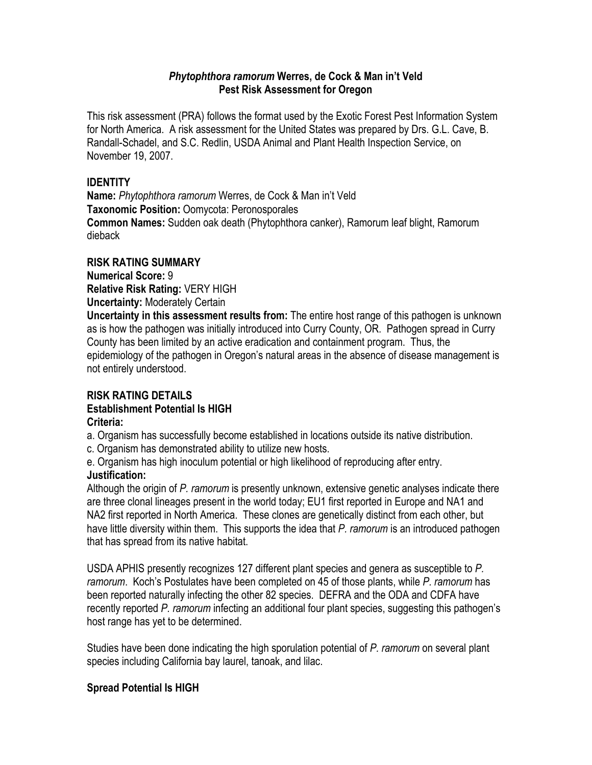## *Phytophthora ramorum* **Werres, de Cock & Man in't Veld Pest Risk Assessment for Oregon**

This risk assessment (PRA) follows the format used by the Exotic Forest Pest Information System for North America. A risk assessment for the United States was prepared by Drs. G.L. Cave, B. Randall-Schadel, and S.C. Redlin, USDA Animal and Plant Health Inspection Service, on November 19, 2007.

# **IDENTITY**

**Name:** *Phytophthora ramorum* Werres, de Cock & Man in't Veld **Taxonomic Position:** Oomycota: Peronosporales **Common Names:** Sudden oak death (Phytophthora canker), Ramorum leaf blight, Ramorum dieback

# **RISK RATING SUMMARY**

**Numerical Score:** 9 **Relative Risk Rating:** VERY HIGH **Uncertainty:** Moderately Certain

**Uncertainty in this assessment results from:** The entire host range of this pathogen is unknown as is how the pathogen was initially introduced into Curry County, OR. Pathogen spread in Curry County has been limited by an active eradication and containment program. Thus, the epidemiology of the pathogen in Oregon's natural areas in the absence of disease management is not entirely understood.

# **RISK RATING DETAILS**

# **Establishment Potential Is HIGH**

## **Criteria:**

a. Organism has successfully become established in locations outside its native distribution.

c. Organism has demonstrated ability to utilize new hosts.

e. Organism has high inoculum potential or high likelihood of reproducing after entry.

# **Justification:**

Although the origin of *P. ramorum* is presently unknown, extensive genetic analyses indicate there are three clonal lineages present in the world today; EU1 first reported in Europe and NA1 and NA2 first reported in North America. These clones are genetically distinct from each other, but have little diversity within them. This supports the idea that *P. ramorum* is an introduced pathogen that has spread from its native habitat.

USDA APHIS presently recognizes 127 different plant species and genera as susceptible to *P. ramorum*. Koch's Postulates have been completed on 45 of those plants, while *P. ramorum* has been reported naturally infecting the other 82 species. DEFRA and the ODA and CDFA have recently reported *P. ramorum* infecting an additional four plant species, suggesting this pathogen's host range has yet to be determined.

Studies have been done indicating the high sporulation potential of *P. ramorum* on several plant species including California bay laurel, tanoak, and lilac.

# **Spread Potential Is HIGH**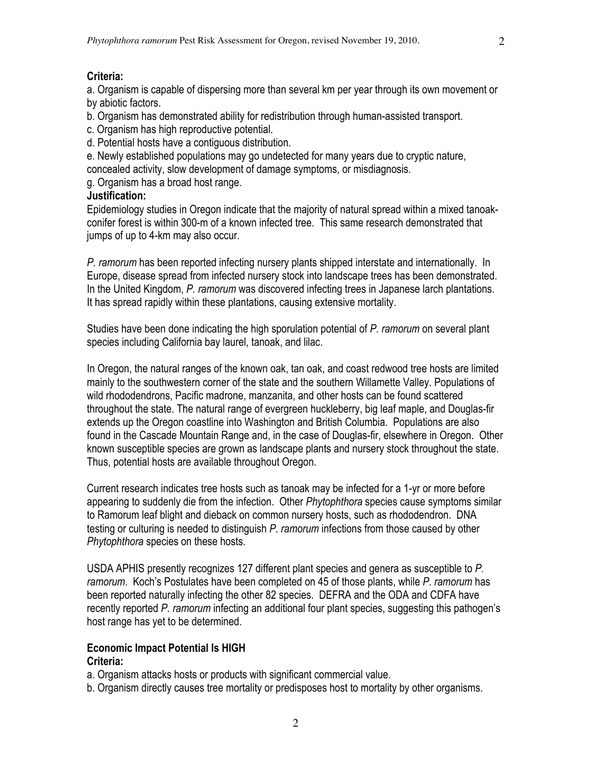#### **Criteria:**

a. Organism is capable of dispersing more than several km per year through its own movement or by abiotic factors.

b. Organism has demonstrated ability for redistribution through human-assisted transport.

c. Organism has high reproductive potential.

d. Potential hosts have a contiguous distribution.

e. Newly established populations may go undetected for many years due to cryptic nature, concealed activity, slow development of damage symptoms, or misdiagnosis.

g. Organism has a broad host range.

#### **Justification:**

Epidemiology studies in Oregon indicate that the majority of natural spread within a mixed tanoakconifer forest is within 300-m of a known infected tree. This same research demonstrated that jumps of up to 4-km may also occur.

*P. ramorum* has been reported infecting nursery plants shipped interstate and internationally. In Europe, disease spread from infected nursery stock into landscape trees has been demonstrated. In the United Kingdom, *P. ramorum* was discovered infecting trees in Japanese larch plantations. It has spread rapidly within these plantations, causing extensive mortality.

Studies have been done indicating the high sporulation potential of *P. ramorum* on several plant species including California bay laurel, tanoak, and lilac.

In Oregon, the natural ranges of the known oak, tan oak, and coast redwood tree hosts are limited mainly to the southwestern corner of the state and the southern Willamette Valley. Populations of wild rhododendrons, Pacific madrone, manzanita, and other hosts can be found scattered throughout the state. The natural range of evergreen huckleberry, big leaf maple, and Douglas-fir extends up the Oregon coastline into Washington and British Columbia. Populations are also found in the Cascade Mountain Range and, in the case of Douglas-fir, elsewhere in Oregon. Other known susceptible species are grown as landscape plants and nursery stock throughout the state. Thus, potential hosts are available throughout Oregon.

Current research indicates tree hosts such as tanoak may be infected for a 1-yr or more before appearing to suddenly die from the infection. Other *Phytophthora* species cause symptoms similar to Ramorum leaf blight and dieback on common nursery hosts, such as rhododendron. DNA testing or culturing is needed to distinguish *P. ramorum* infections from those caused by other *Phytophthora* species on these hosts.

USDA APHIS presently recognizes 127 different plant species and genera as susceptible to *P. ramorum*. Koch's Postulates have been completed on 45 of those plants, while *P. ramorum* has been reported naturally infecting the other 82 species. DEFRA and the ODA and CDFA have recently reported *P. ramorum* infecting an additional four plant species, suggesting this pathogen's host range has yet to be determined.

#### **Economic Impact Potential Is HIGH Criteria:**

a. Organism attacks hosts or products with significant commercial value.

b. Organism directly causes tree mortality or predisposes host to mortality by other organisms.

2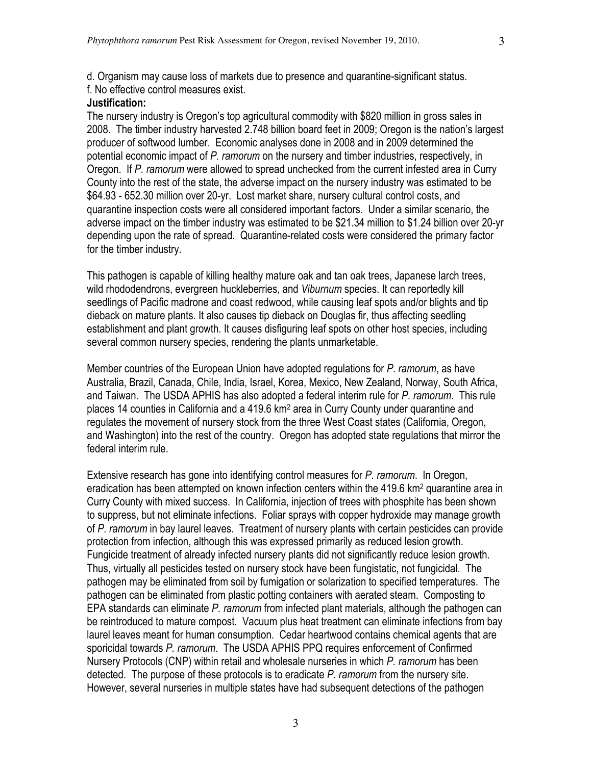d. Organism may cause loss of markets due to presence and quarantine-significant status. f. No effective control measures exist.

#### **Justification:**

The nursery industry is Oregon's top agricultural commodity with \$820 million in gross sales in 2008. The timber industry harvested 2.748 billion board feet in 2009; Oregon is the nation's largest producer of softwood lumber. Economic analyses done in 2008 and in 2009 determined the potential economic impact of *P. ramorum* on the nursery and timber industries, respectively, in Oregon. If *P. ramorum* were allowed to spread unchecked from the current infested area in Curry County into the rest of the state, the adverse impact on the nursery industry was estimated to be \$64.93 - 652.30 million over 20-yr. Lost market share, nursery cultural control costs, and quarantine inspection costs were all considered important factors. Under a similar scenario, the adverse impact on the timber industry was estimated to be \$21.34 million to \$1.24 billion over 20-yr depending upon the rate of spread. Quarantine-related costs were considered the primary factor for the timber industry.

This pathogen is capable of killing healthy mature oak and tan oak trees, Japanese larch trees, wild rhododendrons, evergreen huckleberries, and *Viburnum* species. It can reportedly kill seedlings of Pacific madrone and coast redwood, while causing leaf spots and/or blights and tip dieback on mature plants. It also causes tip dieback on Douglas fir, thus affecting seedling establishment and plant growth. It causes disfiguring leaf spots on other host species, including several common nursery species, rendering the plants unmarketable.

Member countries of the European Union have adopted regulations for *P. ramorum*, as have Australia, Brazil, Canada, Chile, India, Israel, Korea, Mexico, New Zealand, Norway, South Africa, and Taiwan. The USDA APHIS has also adopted a federal interim rule for *P. ramorum*. This rule places 14 counties in California and a 419.6 km2 area in Curry County under quarantine and regulates the movement of nursery stock from the three West Coast states (California, Oregon, and Washington) into the rest of the country. Oregon has adopted state regulations that mirror the federal interim rule.

Extensive research has gone into identifying control measures for *P. ramorum*. In Oregon, eradication has been attempted on known infection centers within the 419.6 km<sup>2</sup> quarantine area in Curry County with mixed success. In California, injection of trees with phosphite has been shown to suppress, but not eliminate infections. Foliar sprays with copper hydroxide may manage growth of *P. ramorum* in bay laurel leaves. Treatment of nursery plants with certain pesticides can provide protection from infection, although this was expressed primarily as reduced lesion growth. Fungicide treatment of already infected nursery plants did not significantly reduce lesion growth. Thus, virtually all pesticides tested on nursery stock have been fungistatic, not fungicidal. The pathogen may be eliminated from soil by fumigation or solarization to specified temperatures. The pathogen can be eliminated from plastic potting containers with aerated steam. Composting to EPA standards can eliminate *P. ramorum* from infected plant materials, although the pathogen can be reintroduced to mature compost. Vacuum plus heat treatment can eliminate infections from bay laurel leaves meant for human consumption. Cedar heartwood contains chemical agents that are sporicidal towards *P. ramorum*. The USDA APHIS PPQ requires enforcement of Confirmed Nursery Protocols (CNP) within retail and wholesale nurseries in which *P. ramorum* has been detected. The purpose of these protocols is to eradicate *P. ramorum* from the nursery site. However, several nurseries in multiple states have had subsequent detections of the pathogen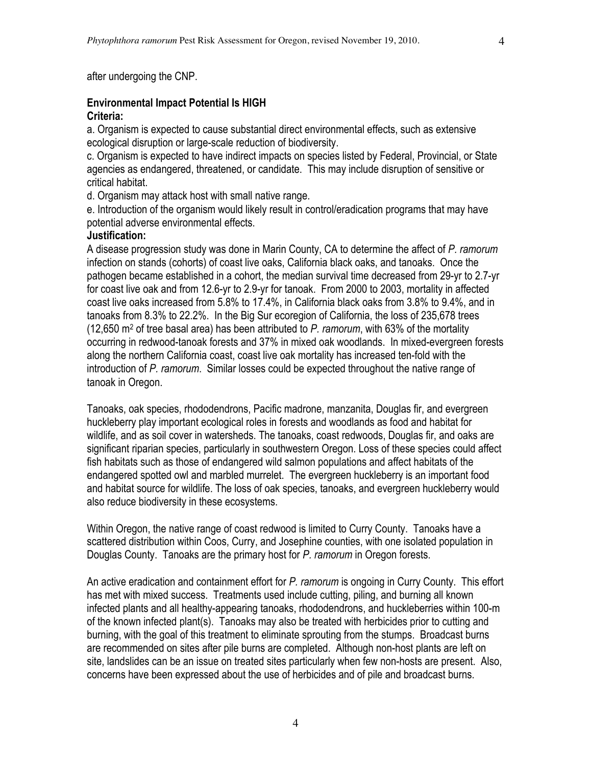after undergoing the CNP.

### **Environmental Impact Potential Is HIGH Criteria:**

a. Organism is expected to cause substantial direct environmental effects, such as extensive ecological disruption or large-scale reduction of biodiversity.

c. Organism is expected to have indirect impacts on species listed by Federal, Provincial, or State agencies as endangered, threatened, or candidate. This may include disruption of sensitive or critical habitat.

d. Organism may attack host with small native range.

e. Introduction of the organism would likely result in control/eradication programs that may have potential adverse environmental effects.

#### **Justification:**

A disease progression study was done in Marin County, CA to determine the affect of *P. ramorum* infection on stands (cohorts) of coast live oaks, California black oaks, and tanoaks. Once the pathogen became established in a cohort, the median survival time decreased from 29-yr to 2.7-yr for coast live oak and from 12.6-yr to 2.9-yr for tanoak. From 2000 to 2003, mortality in affected coast live oaks increased from 5.8% to 17.4%, in California black oaks from 3.8% to 9.4%, and in tanoaks from 8.3% to 22.2%. In the Big Sur ecoregion of California, the loss of 235,678 trees (12,650 m2 of tree basal area) has been attributed to *P. ramorum*, with 63% of the mortality occurring in redwood-tanoak forests and 37% in mixed oak woodlands. In mixed-evergreen forests along the northern California coast, coast live oak mortality has increased ten-fold with the introduction of *P. ramorum*. Similar losses could be expected throughout the native range of tanoak in Oregon.

Tanoaks, oak species, rhododendrons, Pacific madrone, manzanita, Douglas fir, and evergreen huckleberry play important ecological roles in forests and woodlands as food and habitat for wildlife, and as soil cover in watersheds. The tanoaks, coast redwoods, Douglas fir, and oaks are significant riparian species, particularly in southwestern Oregon. Loss of these species could affect fish habitats such as those of endangered wild salmon populations and affect habitats of the endangered spotted owl and marbled murrelet. The evergreen huckleberry is an important food and habitat source for wildlife. The loss of oak species, tanoaks, and evergreen huckleberry would also reduce biodiversity in these ecosystems.

Within Oregon, the native range of coast redwood is limited to Curry County. Tanoaks have a scattered distribution within Coos, Curry, and Josephine counties, with one isolated population in Douglas County. Tanoaks are the primary host for *P. ramorum* in Oregon forests.

An active eradication and containment effort for *P. ramorum* is ongoing in Curry County. This effort has met with mixed success. Treatments used include cutting, piling, and burning all known infected plants and all healthy-appearing tanoaks, rhododendrons, and huckleberries within 100-m of the known infected plant(s). Tanoaks may also be treated with herbicides prior to cutting and burning, with the goal of this treatment to eliminate sprouting from the stumps. Broadcast burns are recommended on sites after pile burns are completed. Although non-host plants are left on site, landslides can be an issue on treated sites particularly when few non-hosts are present. Also, concerns have been expressed about the use of herbicides and of pile and broadcast burns.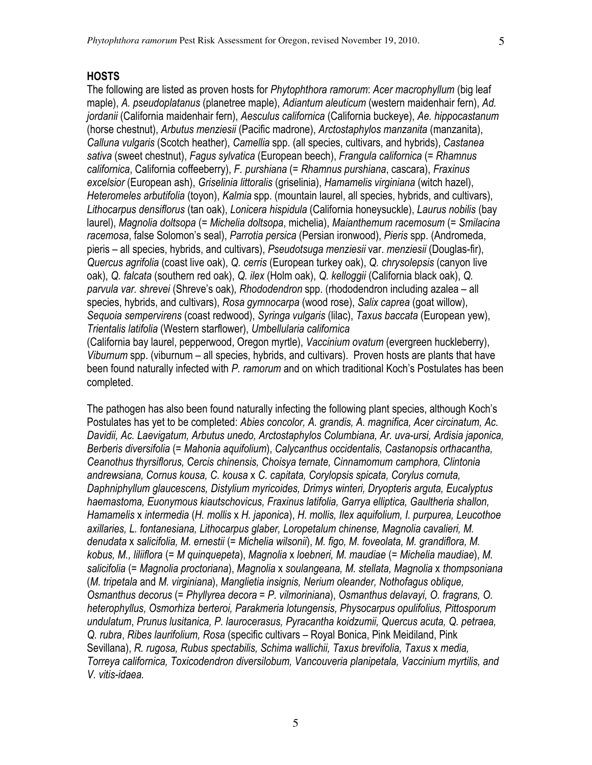#### **HOSTS**

The following are listed as proven hosts for *Phytophthora ramorum*: *Acer macrophyllum* (big leaf maple), *A. pseudoplatanus* (planetree maple), *Adiantum aleuticum* (western maidenhair fern), *Ad. jordanii* (California maidenhair fern), *Aesculus californica* (California buckeye), *Ae. hippocastanum* (horse chestnut), *Arbutus menziesii* (Pacific madrone), *Arctostaphylos manzanita* (manzanita), *Calluna vulgaris* (Scotch heather), *Camellia* spp. (all species, cultivars, and hybrids), *Castanea sativa* (sweet chestnut), *Fagus sylvatica* (European beech), *Frangula californica* (= *Rhamnus californica*, California coffeeberry), *F. purshiana* (= *Rhamnus purshiana*, cascara), *Fraxinus excelsior* (European ash), *Griselinia littoralis* (griselinia), *Hamamelis virginiana* (witch hazel), *Heteromeles arbutifolia* (toyon), *Kalmia* spp. (mountain laurel, all species, hybrids, and cultivars), *Lithocarpus densiflorus* (tan oak), *Lonicera hispidula* (California honeysuckle), *Laurus nobilis* (bay laurel), *Magnolia doltsopa* (= *Michelia doltsopa*, michelia), *Maianthemum racemosum* (= *Smilacina racemosa*, false Solomon's seal), *Parrotia persica* (Persian ironwood), *Pieris* spp. (Andromeda, pieris – all species, hybrids, and cultivars), *Pseudotsuga menziesii* var. *menziesii* (Douglas-fir), *Quercus agrifolia* (coast live oak), *Q. cerris* (European turkey oak), *Q. chrysolepsis* (canyon live oak), *Q. falcata* (southern red oak), *Q. ilex* (Holm oak), *Q. kelloggii* (California black oak), *Q. parvula var. shrevei* (Shreve's oak)*, Rhododendron* spp. (rhododendron including azalea – all species, hybrids, and cultivars), *Rosa gymnocarpa* (wood rose), *Salix caprea* (goat willow), *Sequoia sempervirens* (coast redwood), *Syringa vulgaris* (lilac), *Taxus baccata* (European yew), *Trientalis latifolia* (Western starflower), *Umbellularia californica* (California bay laurel, pepperwood, Oregon myrtle), *Vaccinium ovatum* (evergreen huckleberry),

*Viburnum* spp. (viburnum – all species, hybrids, and cultivars). Proven hosts are plants that have been found naturally infected with *P. ramorum* and on which traditional Koch's Postulates has been completed.

The pathogen has also been found naturally infecting the following plant species, although Koch's Postulates has yet to be completed: *Abies concolor, A. grandis, A. magnifica, Acer circinatum, Ac. Davidii, Ac. Laevigatum, Arbutus unedo, Arctostaphylos Columbiana, Ar. uva-ursi, Ardisia japonica, Berberis diversifolia* (= *Mahonia aquifolium*), *Calycanthus occidentalis, Castanopsis orthacantha, Ceanothus thyrsiflorus, Cercis chinensis, Choisya ternate, Cinnamomum camphora, Clintonia andrewsiana, Cornus kousa, C. kousa* x *C. capitata, Corylopsis spicata, Corylus cornuta, Daphniphyllum glaucescens, Distylium myricoides, Drimys winteri, Dryopteris arguta, Eucalyptus haemastoma, Euonymous kiautschovicus, Fraxinus latifolia, Garrya elliptica, Gaultheria shallon, Hamamelis* x *intermedia* (*H. mollis* x *H. japonica*), *H. mollis, Ilex aquifolium, I. purpurea, Leucothoe axillaries, L. fontanesiana, Lithocarpus glaber, Loropetalum chinense, Magnolia cavalieri, M. denudata* x *salicifolia, M. ernestii* (= *Michelia wilsonii*), *M. figo, M. foveolata, M. grandiflora, M. kobus, M., liliiflora* (= *M quinquepeta*), *Magnolia* x *loebneri, M. maudiae* (= *Michelia maudiae*), *M. salicifolia* (= *Magnolia proctoriana*), *Magnolia* x *soulangeana, M. stellata, Magnolia* x *thompsoniana* (*M. tripetala* and *M. virginiana*), *Manglietia insignis, Nerium oleander, Nothofagus oblique, Osmanthus decorus* (= *Phyllyrea decora* = *P. vilmoriniana*), *Osmanthus delavayi, O. fragrans, O. heterophyllus, Osmorhiza berteroi, Parakmeria lotungensis, Physocarpus opulifolius, Pittosporum undulatum*, *Prunus lusitanica, P. laurocerasus, Pyracantha koidzumii, Quercus acuta, Q. petraea, Q. rubra*, *Ribes laurifolium, Rosa* (specific cultivars – Royal Bonica, Pink Meidiland, Pink Sevillana), *R. rugosa, Rubus spectabilis, Schima wallichii, Taxus brevifolia, Taxus* x *media, Torreya californica, Toxicodendron diversilobum, Vancouveria planipetala, Vaccinium myrtilis, and V. vitis-idaea.*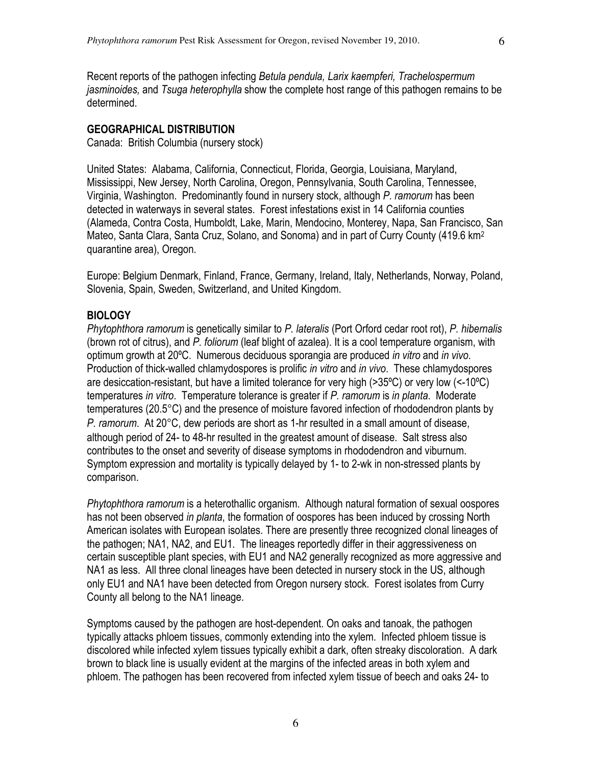Recent reports of the pathogen infecting *Betula pendula, Larix kaempferi, Trachelospermum jasminoides,* and *Tsuga heterophylla* show the complete host range of this pathogen remains to be determined.

#### **GEOGRAPHICAL DISTRIBUTION**

Canada: British Columbia (nursery stock)

United States: Alabama, California, Connecticut, Florida, Georgia, Louisiana, Maryland, Mississippi, New Jersey, North Carolina, Oregon, Pennsylvania, South Carolina, Tennessee, Virginia, Washington. Predominantly found in nursery stock, although *P. ramorum* has been detected in waterways in several states. Forest infestations exist in 14 California counties (Alameda, Contra Costa, Humboldt, Lake, Marin, Mendocino, Monterey, Napa, San Francisco, San Mateo, Santa Clara, Santa Cruz, Solano, and Sonoma) and in part of Curry County (419.6 km<sup>2</sup> quarantine area), Oregon.

Europe: Belgium Denmark, Finland, France, Germany, Ireland, Italy, Netherlands, Norway, Poland, Slovenia, Spain, Sweden, Switzerland, and United Kingdom.

#### **BIOLOGY**

*Phytophthora ramorum* is genetically similar to *P. lateralis* (Port Orford cedar root rot), *P. hibernalis* (brown rot of citrus), and *P. foliorum* (leaf blight of azalea). It is a cool temperature organism, with optimum growth at 20ºC. Numerous deciduous sporangia are produced *in vitro* and *in vivo*. Production of thick-walled chlamydospores is prolific *in vitro* and *in vivo*. These chlamydospores are desiccation-resistant, but have a limited tolerance for very high (>35ºC) or very low (<-10ºC) temperatures *in vitro*. Temperature tolerance is greater if *P. ramorum* is *in planta*. Moderate temperatures (20.5°C) and the presence of moisture favored infection of rhododendron plants by *P. ramorum*. At 20°C, dew periods are short as 1-hr resulted in a small amount of disease, although period of 24- to 48-hr resulted in the greatest amount of disease. Salt stress also contributes to the onset and severity of disease symptoms in rhododendron and viburnum. Symptom expression and mortality is typically delayed by 1- to 2-wk in non-stressed plants by comparison.

*Phytophthora ramorum* is a heterothallic organism. Although natural formation of sexual oospores has not been observed *in planta*, the formation of oospores has been induced by crossing North American isolates with European isolates. There are presently three recognized clonal lineages of the pathogen; NA1, NA2, and EU1. The lineages reportedly differ in their aggressiveness on certain susceptible plant species, with EU1 and NA2 generally recognized as more aggressive and NA1 as less. All three clonal lineages have been detected in nursery stock in the US, although only EU1 and NA1 have been detected from Oregon nursery stock. Forest isolates from Curry County all belong to the NA1 lineage.

Symptoms caused by the pathogen are host-dependent. On oaks and tanoak, the pathogen typically attacks phloem tissues, commonly extending into the xylem. Infected phloem tissue is discolored while infected xylem tissues typically exhibit a dark, often streaky discoloration. A dark brown to black line is usually evident at the margins of the infected areas in both xylem and phloem. The pathogen has been recovered from infected xylem tissue of beech and oaks 24- to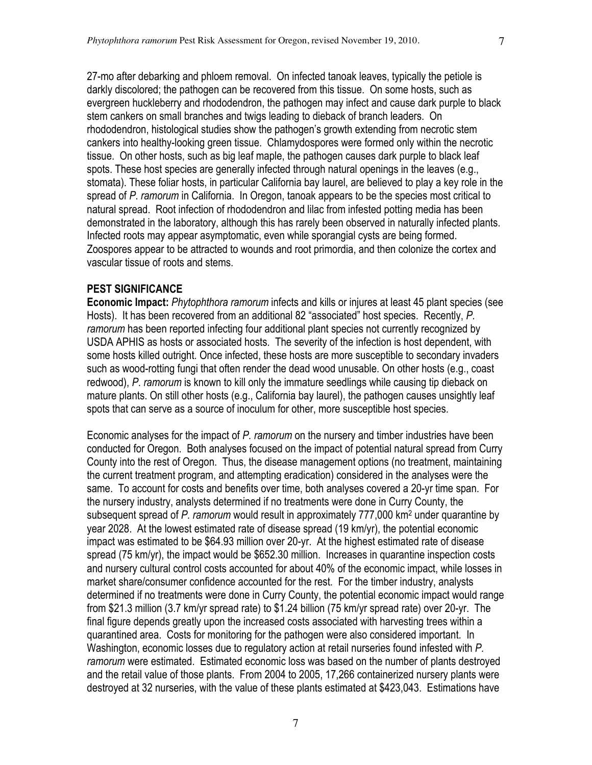27-mo after debarking and phloem removal. On infected tanoak leaves, typically the petiole is darkly discolored; the pathogen can be recovered from this tissue. On some hosts, such as evergreen huckleberry and rhododendron, the pathogen may infect and cause dark purple to black stem cankers on small branches and twigs leading to dieback of branch leaders. On rhododendron, histological studies show the pathogen's growth extending from necrotic stem cankers into healthy-looking green tissue. Chlamydospores were formed only within the necrotic tissue. On other hosts, such as big leaf maple, the pathogen causes dark purple to black leaf spots. These host species are generally infected through natural openings in the leaves (e.g., stomata). These foliar hosts, in particular California bay laurel, are believed to play a key role in the spread of *P. ramorum* in California. In Oregon, tanoak appears to be the species most critical to natural spread. Root infection of rhododendron and lilac from infested potting media has been demonstrated in the laboratory, although this has rarely been observed in naturally infected plants. Infected roots may appear asymptomatic, even while sporangial cysts are being formed. Zoospores appear to be attracted to wounds and root primordia, and then colonize the cortex and vascular tissue of roots and stems.

#### **PEST SIGNIFICANCE**

**Economic Impact:** *Phytophthora ramorum* infects and kills or injures at least 45 plant species (see Hosts). It has been recovered from an additional 82 "associated" host species. Recently, *P. ramorum* has been reported infecting four additional plant species not currently recognized by USDA APHIS as hosts or associated hosts. The severity of the infection is host dependent, with some hosts killed outright. Once infected, these hosts are more susceptible to secondary invaders such as wood-rotting fungi that often render the dead wood unusable. On other hosts (e.g., coast redwood), *P*. *ramorum* is known to kill only the immature seedlings while causing tip dieback on mature plants. On still other hosts (e.g., California bay laurel), the pathogen causes unsightly leaf spots that can serve as a source of inoculum for other, more susceptible host species.

Economic analyses for the impact of *P. ramorum* on the nursery and timber industries have been conducted for Oregon. Both analyses focused on the impact of potential natural spread from Curry County into the rest of Oregon. Thus, the disease management options (no treatment, maintaining the current treatment program, and attempting eradication) considered in the analyses were the same. To account for costs and benefits over time, both analyses covered a 20-yr time span. For the nursery industry, analysts determined if no treatments were done in Curry County, the subsequent spread of *P. ramorum* would result in approximately 777,000 km2 under quarantine by year 2028. At the lowest estimated rate of disease spread (19 km/yr), the potential economic impact was estimated to be \$64.93 million over 20-yr. At the highest estimated rate of disease spread (75 km/yr), the impact would be \$652.30 million. Increases in quarantine inspection costs and nursery cultural control costs accounted for about 40% of the economic impact, while losses in market share/consumer confidence accounted for the rest. For the timber industry, analysts determined if no treatments were done in Curry County, the potential economic impact would range from \$21.3 million (3.7 km/yr spread rate) to \$1.24 billion (75 km/yr spread rate) over 20-yr. The final figure depends greatly upon the increased costs associated with harvesting trees within a quarantined area. Costs for monitoring for the pathogen were also considered important. In Washington, economic losses due to regulatory action at retail nurseries found infested with *P. ramorum* were estimated. Estimated economic loss was based on the number of plants destroyed and the retail value of those plants. From 2004 to 2005, 17,266 containerized nursery plants were destroyed at 32 nurseries, with the value of these plants estimated at \$423,043. Estimations have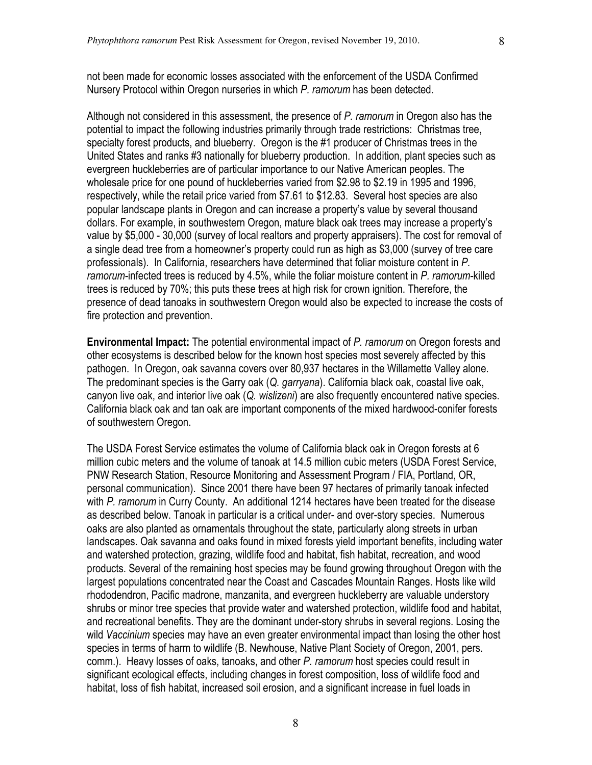not been made for economic losses associated with the enforcement of the USDA Confirmed Nursery Protocol within Oregon nurseries in which *P. ramorum* has been detected.

Although not considered in this assessment, the presence of *P. ramorum* in Oregon also has the potential to impact the following industries primarily through trade restrictions: Christmas tree, specialty forest products, and blueberry. Oregon is the #1 producer of Christmas trees in the United States and ranks #3 nationally for blueberry production. In addition, plant species such as evergreen huckleberries are of particular importance to our Native American peoples. The wholesale price for one pound of huckleberries varied from \$2.98 to \$2.19 in 1995 and 1996, respectively, while the retail price varied from \$7.61 to \$12.83. Several host species are also popular landscape plants in Oregon and can increase a property's value by several thousand dollars. For example, in southwestern Oregon, mature black oak trees may increase a property's value by \$5,000 - 30,000 (survey of local realtors and property appraisers). The cost for removal of a single dead tree from a homeowner's property could run as high as \$3,000 (survey of tree care professionals). In California, researchers have determined that foliar moisture content in *P. ramorum*-infected trees is reduced by 4.5%, while the foliar moisture content in *P. ramorum*-killed trees is reduced by 70%; this puts these trees at high risk for crown ignition. Therefore, the presence of dead tanoaks in southwestern Oregon would also be expected to increase the costs of fire protection and prevention.

**Environmental Impact:** The potential environmental impact of *P. ramorum* on Oregon forests and other ecosystems is described below for the known host species most severely affected by this pathogen. In Oregon, oak savanna covers over 80,937 hectares in the Willamette Valley alone. The predominant species is the Garry oak (*Q. garryana*). California black oak, coastal live oak, canyon live oak, and interior live oak (*Q. wislizeni*) are also frequently encountered native species. California black oak and tan oak are important components of the mixed hardwood-conifer forests of southwestern Oregon.

The USDA Forest Service estimates the volume of California black oak in Oregon forests at 6 million cubic meters and the volume of tanoak at 14.5 million cubic meters (USDA Forest Service, PNW Research Station, Resource Monitoring and Assessment Program / FIA, Portland, OR, personal communication). Since 2001 there have been 97 hectares of primarily tanoak infected with *P. ramorum* in Curry County. An additional 1214 hectares have been treated for the disease as described below. Tanoak in particular is a critical under- and over-story species. Numerous oaks are also planted as ornamentals throughout the state, particularly along streets in urban landscapes. Oak savanna and oaks found in mixed forests yield important benefits, including water and watershed protection, grazing, wildlife food and habitat, fish habitat, recreation, and wood products. Several of the remaining host species may be found growing throughout Oregon with the largest populations concentrated near the Coast and Cascades Mountain Ranges. Hosts like wild rhododendron, Pacific madrone, manzanita, and evergreen huckleberry are valuable understory shrubs or minor tree species that provide water and watershed protection, wildlife food and habitat, and recreational benefits. They are the dominant under-story shrubs in several regions. Losing the wild *Vaccinium* species may have an even greater environmental impact than losing the other host species in terms of harm to wildlife (B. Newhouse, Native Plant Society of Oregon, 2001, pers. comm.). Heavy losses of oaks, tanoaks, and other *P. ramorum* host species could result in significant ecological effects, including changes in forest composition, loss of wildlife food and habitat, loss of fish habitat, increased soil erosion, and a significant increase in fuel loads in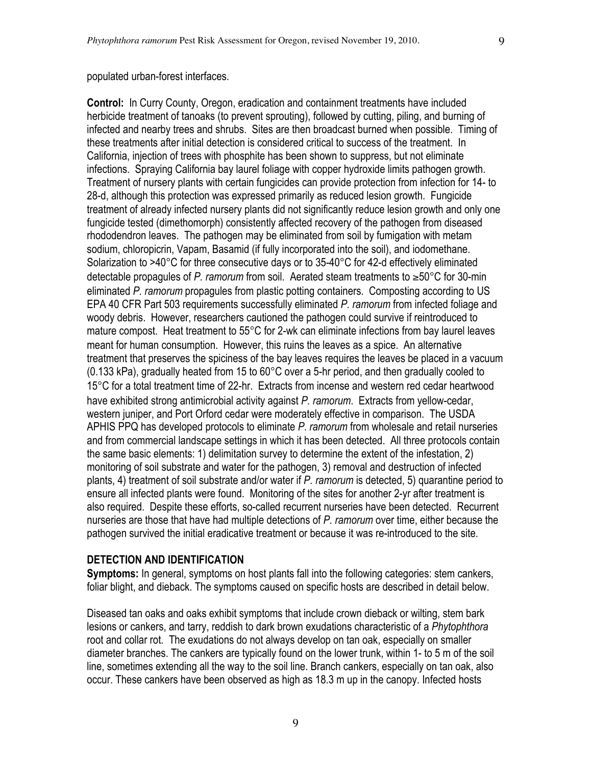**Control:** In Curry County, Oregon, eradication and containment treatments have included herbicide treatment of tanoaks (to prevent sprouting), followed by cutting, piling, and burning of infected and nearby trees and shrubs. Sites are then broadcast burned when possible. Timing of these treatments after initial detection is considered critical to success of the treatment. In California, injection of trees with phosphite has been shown to suppress, but not eliminate infections. Spraying California bay laurel foliage with copper hydroxide limits pathogen growth. Treatment of nursery plants with certain fungicides can provide protection from infection for 14- to 28-d, although this protection was expressed primarily as reduced lesion growth. Fungicide treatment of already infected nursery plants did not significantly reduce lesion growth and only one fungicide tested (dimethomorph) consistently affected recovery of the pathogen from diseased rhododendron leaves. The pathogen may be eliminated from soil by fumigation with metam sodium, chloropicrin, Vapam, Basamid (if fully incorporated into the soil), and iodomethane. Solarization to >40°C for three consecutive days or to 35-40°C for 42-d effectively eliminated detectable propagules of *P. ramorum* from soil. Aerated steam treatments to ≥50°C for 30-min eliminated *P. ramorum* propagules from plastic potting containers. Composting according to US EPA 40 CFR Part 503 requirements successfully eliminated *P. ramorum* from infected foliage and woody debris. However, researchers cautioned the pathogen could survive if reintroduced to mature compost. Heat treatment to 55°C for 2-wk can eliminate infections from bay laurel leaves meant for human consumption. However, this ruins the leaves as a spice. An alternative treatment that preserves the spiciness of the bay leaves requires the leaves be placed in a vacuum (0.133 kPa), gradually heated from 15 to 60°C over a 5-hr period, and then gradually cooled to 15°C for a total treatment time of 22-hr. Extracts from incense and western red cedar heartwood have exhibited strong antimicrobial activity against *P. ramorum*. Extracts from yellow-cedar, western juniper, and Port Orford cedar were moderately effective in comparison. The USDA APHIS PPQ has developed protocols to eliminate *P. ramorum* from wholesale and retail nurseries and from commercial landscape settings in which it has been detected. All three protocols contain the same basic elements: 1) delimitation survey to determine the extent of the infestation, 2) monitoring of soil substrate and water for the pathogen, 3) removal and destruction of infected plants, 4) treatment of soil substrate and/or water if *P. ramorum* is detected, 5) quarantine period to ensure all infected plants were found. Monitoring of the sites for another 2-yr after treatment is also required. Despite these efforts, so-called recurrent nurseries have been detected. Recurrent nurseries are those that have had multiple detections of *P. ramorum* over time, either because the pathogen survived the initial eradicative treatment or because it was re-introduced to the site.

#### **DETECTION AND IDENTIFICATION**

**Symptoms:** In general, symptoms on host plants fall into the following categories: stem cankers, foliar blight, and dieback. The symptoms caused on specific hosts are described in detail below.

Diseased tan oaks and oaks exhibit symptoms that include crown dieback or wilting, stem bark lesions or cankers, and tarry, reddish to dark brown exudations characteristic of a *Phytophthora* root and collar rot. The exudations do not always develop on tan oak, especially on smaller diameter branches. The cankers are typically found on the lower trunk, within 1- to 5 m of the soil line, sometimes extending all the way to the soil line. Branch cankers, especially on tan oak, also occur. These cankers have been observed as high as 18.3 m up in the canopy. Infected hosts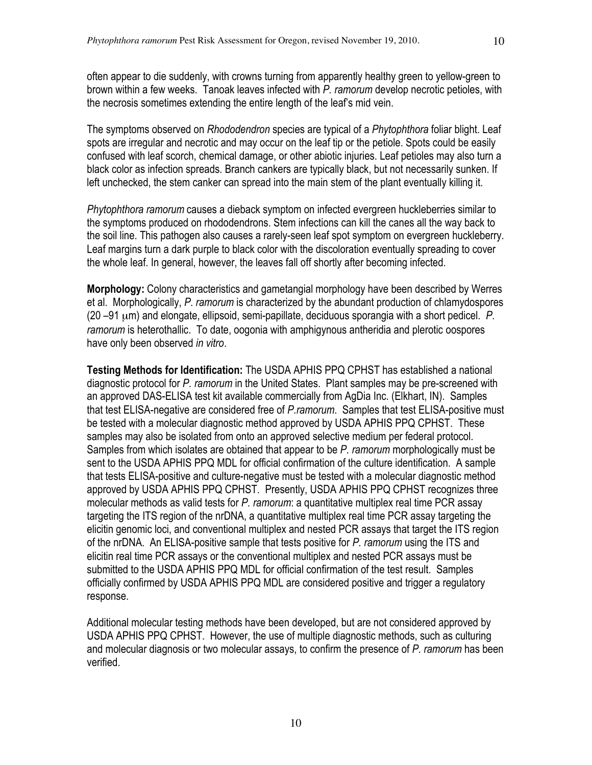often appear to die suddenly, with crowns turning from apparently healthy green to yellow-green to brown within a few weeks. Tanoak leaves infected with *P. ramorum* develop necrotic petioles, with the necrosis sometimes extending the entire length of the leaf's mid vein.

The symptoms observed on *Rhododendron* species are typical of a *Phytophthora* foliar blight. Leaf spots are irregular and necrotic and may occur on the leaf tip or the petiole. Spots could be easily confused with leaf scorch, chemical damage, or other abiotic injuries. Leaf petioles may also turn a black color as infection spreads. Branch cankers are typically black, but not necessarily sunken. If left unchecked, the stem canker can spread into the main stem of the plant eventually killing it.

*Phytophthora ramorum* causes a dieback symptom on infected evergreen huckleberries similar to the symptoms produced on rhododendrons. Stem infections can kill the canes all the way back to the soil line. This pathogen also causes a rarely-seen leaf spot symptom on evergreen huckleberry. Leaf margins turn a dark purple to black color with the discoloration eventually spreading to cover the whole leaf. In general, however, the leaves fall off shortly after becoming infected.

**Morphology:** Colony characteristics and gametangial morphology have been described by Werres et al. Morphologically, *P. ramorum* is characterized by the abundant production of chlamydospores (20 –91 µm) and elongate, ellipsoid, semi-papillate, deciduous sporangia with a short pedicel. *P. ramorum* is heterothallic. To date, oogonia with amphigynous antheridia and plerotic oospores have only been observed *in vitro*.

**Testing Methods for Identification:** The USDA APHIS PPQ CPHST has established a national diagnostic protocol for *P. ramorum* in the United States. Plant samples may be pre-screened with an approved DAS-ELISA test kit available commercially from AgDia Inc. (Elkhart, IN). Samples that test ELISA-negative are considered free of *P.ramorum*. Samples that test ELISA-positive must be tested with a molecular diagnostic method approved by USDA APHIS PPQ CPHST. These samples may also be isolated from onto an approved selective medium per federal protocol. Samples from which isolates are obtained that appear to be *P. ramorum* morphologically must be sent to the USDA APHIS PPQ MDL for official confirmation of the culture identification. A sample that tests ELISA-positive and culture-negative must be tested with a molecular diagnostic method approved by USDA APHIS PPQ CPHST. Presently, USDA APHIS PPQ CPHST recognizes three molecular methods as valid tests for *P. ramorum*: a quantitative multiplex real time PCR assay targeting the ITS region of the nrDNA, a quantitative multiplex real time PCR assay targeting the elicitin genomic loci, and conventional multiplex and nested PCR assays that target the ITS region of the nrDNA. An ELISA-positive sample that tests positive for *P. ramorum* using the ITS and elicitin real time PCR assays or the conventional multiplex and nested PCR assays must be submitted to the USDA APHIS PPQ MDL for official confirmation of the test result. Samples officially confirmed by USDA APHIS PPQ MDL are considered positive and trigger a regulatory response.

Additional molecular testing methods have been developed, but are not considered approved by USDA APHIS PPQ CPHST. However, the use of multiple diagnostic methods, such as culturing and molecular diagnosis or two molecular assays, to confirm the presence of *P. ramorum* has been verified.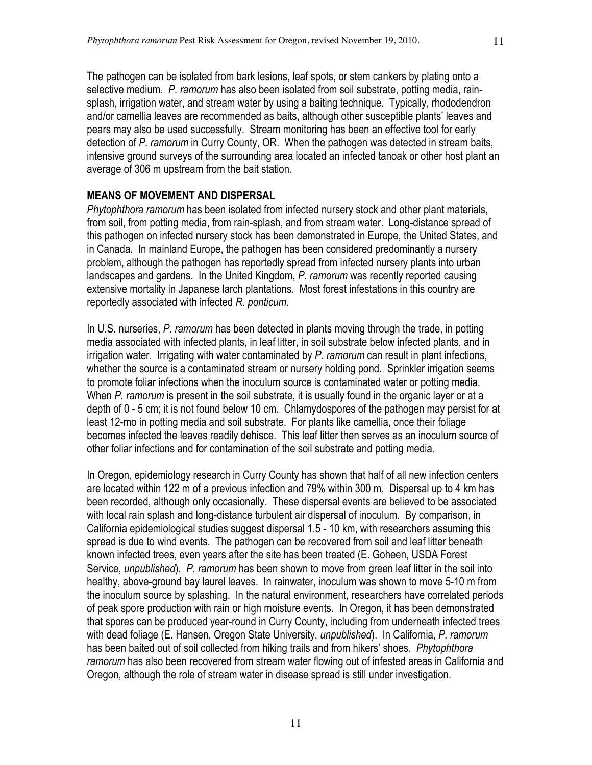The pathogen can be isolated from bark lesions, leaf spots, or stem cankers by plating onto a selective medium. *P. ramorum* has also been isolated from soil substrate, potting media, rainsplash, irrigation water, and stream water by using a baiting technique. Typically, rhododendron and/or camellia leaves are recommended as baits, although other susceptible plants' leaves and pears may also be used successfully. Stream monitoring has been an effective tool for early detection of *P. ramorum* in Curry County, OR. When the pathogen was detected in stream baits, intensive ground surveys of the surrounding area located an infected tanoak or other host plant an average of 306 m upstream from the bait station.

### **MEANS OF MOVEMENT AND DISPERSAL**

*Phytophthora ramorum* has been isolated from infected nursery stock and other plant materials, from soil, from potting media, from rain-splash, and from stream water. Long-distance spread of this pathogen on infected nursery stock has been demonstrated in Europe, the United States, and in Canada. In mainland Europe, the pathogen has been considered predominantly a nursery problem, although the pathogen has reportedly spread from infected nursery plants into urban landscapes and gardens. In the United Kingdom, *P. ramorum* was recently reported causing extensive mortality in Japanese larch plantations. Most forest infestations in this country are reportedly associated with infected *R. ponticum*.

In U.S. nurseries, *P. ramorum* has been detected in plants moving through the trade, in potting media associated with infected plants, in leaf litter, in soil substrate below infected plants, and in irrigation water. Irrigating with water contaminated by *P. ramorum* can result in plant infections, whether the source is a contaminated stream or nursery holding pond. Sprinkler irrigation seems to promote foliar infections when the inoculum source is contaminated water or potting media. When *P. ramorum* is present in the soil substrate, it is usually found in the organic layer or at a depth of 0 - 5 cm; it is not found below 10 cm. Chlamydospores of the pathogen may persist for at least 12-mo in potting media and soil substrate. For plants like camellia, once their foliage becomes infected the leaves readily dehisce. This leaf litter then serves as an inoculum source of other foliar infections and for contamination of the soil substrate and potting media.

In Oregon, epidemiology research in Curry County has shown that half of all new infection centers are located within 122 m of a previous infection and 79% within 300 m. Dispersal up to 4 km has been recorded, although only occasionally. These dispersal events are believed to be associated with local rain splash and long-distance turbulent air dispersal of inoculum. By comparison, in California epidemiological studies suggest dispersal 1.5 - 10 km, with researchers assuming this spread is due to wind events. The pathogen can be recovered from soil and leaf litter beneath known infected trees, even years after the site has been treated (E. Goheen, USDA Forest Service, *unpublished*). *P. ramorum* has been shown to move from green leaf litter in the soil into healthy, above-ground bay laurel leaves. In rainwater, inoculum was shown to move 5-10 m from the inoculum source by splashing. In the natural environment, researchers have correlated periods of peak spore production with rain or high moisture events. In Oregon, it has been demonstrated that spores can be produced year-round in Curry County, including from underneath infected trees with dead foliage (E. Hansen, Oregon State University, *unpublished*). In California, *P. ramorum* has been baited out of soil collected from hiking trails and from hikers' shoes. *Phytophthora ramorum* has also been recovered from stream water flowing out of infested areas in California and Oregon, although the role of stream water in disease spread is still under investigation.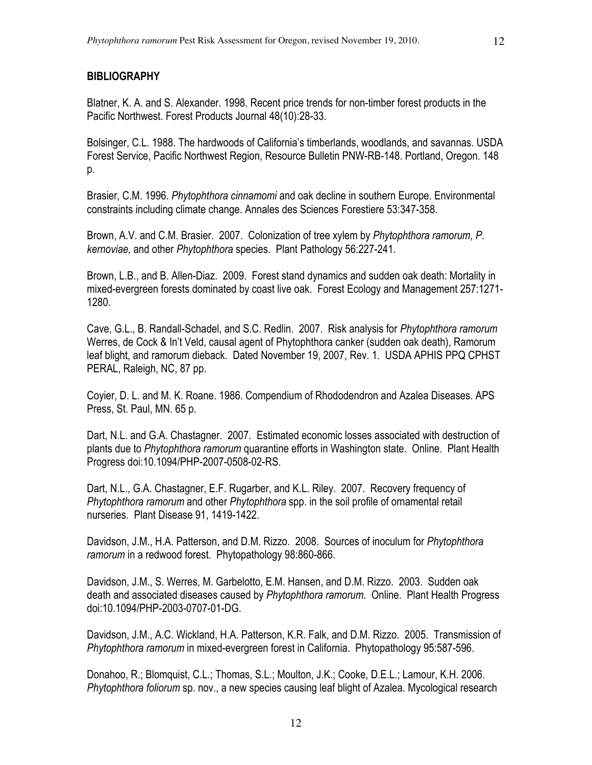## **BIBLIOGRAPHY**

Blatner, K. A. and S. Alexander. 1998. Recent price trends for non-timber forest products in the Pacific Northwest. Forest Products Journal 48(10):28-33.

Bolsinger, C.L. 1988. The hardwoods of California's timberlands, woodlands, and savannas. USDA Forest Service, Pacific Northwest Region, Resource Bulletin PNW-RB-148. Portland, Oregon. 148 p.

Brasier, C.M. 1996. *Phytophthora cinnamomi* and oak decline in southern Europe. Environmental constraints including climate change. Annales des Sciences Forestiere 53:347-358.

Brown, A.V. and C.M. Brasier. 2007. Colonization of tree xylem by *Phytophthora ramorum, P. kernoviae,* and other *Phytophthora* species. Plant Pathology 56:227-241.

Brown, L.B., and B. Allen-Diaz. 2009. Forest stand dynamics and sudden oak death: Mortality in mixed-evergreen forests dominated by coast live oak. Forest Ecology and Management 257:1271- 1280.

Cave, G.L., B. Randall-Schadel, and S.C. Redlin. 2007. Risk analysis for *Phytophthora ramorum* Werres, de Cock & In't Veld, causal agent of Phytophthora canker (sudden oak death), Ramorum leaf blight, and ramorum dieback. Dated November 19, 2007, Rev. 1. USDA APHIS PPQ CPHST PERAL, Raleigh, NC, 87 pp.

Coyier, D. L. and M. K. Roane. 1986. Compendium of Rhododendron and Azalea Diseases. APS Press, St. Paul, MN. 65 p.

Dart, N.L. and G.A. Chastagner. 2007. Estimated economic losses associated with destruction of plants due to *Phytophthora ramorum* quarantine efforts in Washington state. Online. Plant Health Progress doi:10.1094/PHP-2007-0508-02-RS.

Dart, N.L., G.A. Chastagner, E.F. Rugarber, and K.L. Riley. 2007. Recovery frequency of *Phytophthora ramorum* and other *Phytophthora* spp. in the soil profile of ornamental retail nurseries. Plant Disease 91, 1419-1422.

Davidson, J.M., H.A. Patterson, and D.M. Rizzo. 2008. Sources of inoculum for *Phytophthora ramorum* in a redwood forest. Phytopathology 98:860-866.

Davidson, J.M., S. Werres, M. Garbelotto, E.M. Hansen, and D.M. Rizzo. 2003. Sudden oak death and associated diseases caused by *Phytophthora ramorum*. Online. Plant Health Progress doi:10.1094/PHP-2003-0707-01-DG.

Davidson, J.M., A.C. Wickland, H.A. Patterson, K.R. Falk, and D.M. Rizzo. 2005. Transmission of *Phytophthora ramorum* in mixed-evergreen forest in California. Phytopathology 95:587-596.

Donahoo, R.; Blomquist, C.L.; Thomas, S.L.; Moulton, J.K.; Cooke, D.E.L.; Lamour, K.H. 2006. *Phytophthora foliorum* sp. nov., a new species causing leaf blight of Azalea. Mycological research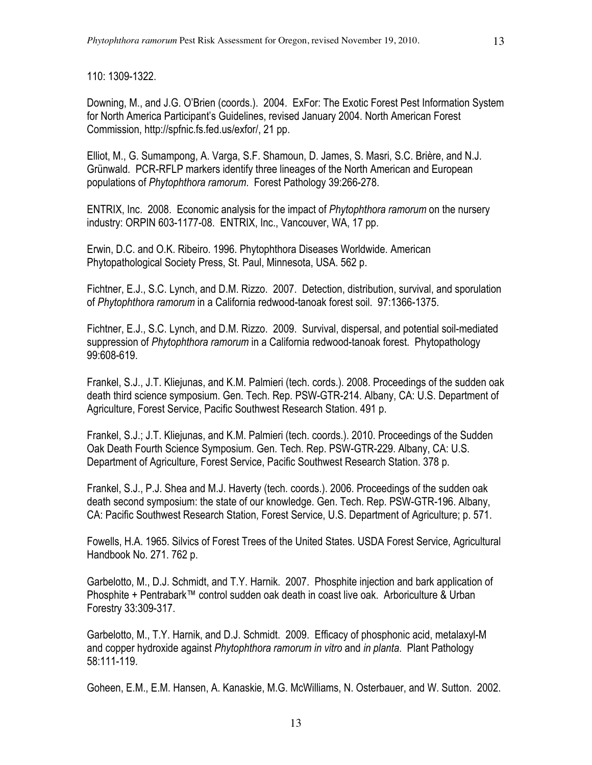110: 1309-1322.

Downing, M., and J.G. O'Brien (coords.). 2004. ExFor: The Exotic Forest Pest Information System for North America Participant's Guidelines, revised January 2004. North American Forest Commission, http://spfnic.fs.fed.us/exfor/, 21 pp.

Elliot, M., G. Sumampong, A. Varga, S.F. Shamoun, D. James, S. Masri, S.C. Brière, and N.J. Grünwald. PCR-RFLP markers identify three lineages of the North American and European populations of *Phytophthora ramorum*. Forest Pathology 39:266-278.

ENTRIX, Inc. 2008. Economic analysis for the impact of *Phytophthora ramorum* on the nursery industry: ORPIN 603-1177-08. ENTRIX, Inc., Vancouver, WA, 17 pp.

Erwin, D.C. and O.K. Ribeiro. 1996. Phytophthora Diseases Worldwide. American Phytopathological Society Press, St. Paul, Minnesota, USA. 562 p.

Fichtner, E.J., S.C. Lynch, and D.M. Rizzo. 2007. Detection, distribution, survival, and sporulation of *Phytophthora ramorum* in a California redwood-tanoak forest soil. 97:1366-1375.

Fichtner, E.J., S.C. Lynch, and D.M. Rizzo. 2009. Survival, dispersal, and potential soil-mediated suppression of *Phytophthora ramorum* in a California redwood-tanoak forest. Phytopathology 99:608-619.

Frankel, S.J., J.T. Kliejunas, and K.M. Palmieri (tech. cords.). 2008. Proceedings of the sudden oak death third science symposium. Gen. Tech. Rep. PSW-GTR-214. Albany, CA: U.S. Department of Agriculture, Forest Service, Pacific Southwest Research Station. 491 p.

Frankel, S.J.; J.T. Kliejunas, and K.M. Palmieri (tech. coords.). 2010. Proceedings of the Sudden Oak Death Fourth Science Symposium. Gen. Tech. Rep. PSW-GTR-229. Albany, CA: U.S. Department of Agriculture, Forest Service, Pacific Southwest Research Station. 378 p.

Frankel, S.J., P.J. Shea and M.J. Haverty (tech. coords.). 2006. Proceedings of the sudden oak death second symposium: the state of our knowledge. Gen. Tech. Rep. PSW-GTR-196. Albany, CA: Pacific Southwest Research Station, Forest Service, U.S. Department of Agriculture; p. 571.

Fowells, H.A. 1965. Silvics of Forest Trees of the United States. USDA Forest Service, Agricultural Handbook No. 271. 762 p.

Garbelotto, M., D.J. Schmidt, and T.Y. Harnik. 2007. Phosphite injection and bark application of Phosphite + Pentrabark™ control sudden oak death in coast live oak. Arboriculture & Urban Forestry 33:309-317.

Garbelotto, M., T.Y. Harnik, and D.J. Schmidt. 2009. Efficacy of phosphonic acid, metalaxyl-M and copper hydroxide against *Phytophthora ramorum in vitro* and *in planta*. Plant Pathology 58:111-119.

Goheen, E.M., E.M. Hansen, A. Kanaskie, M.G. McWilliams, N. Osterbauer, and W. Sutton. 2002.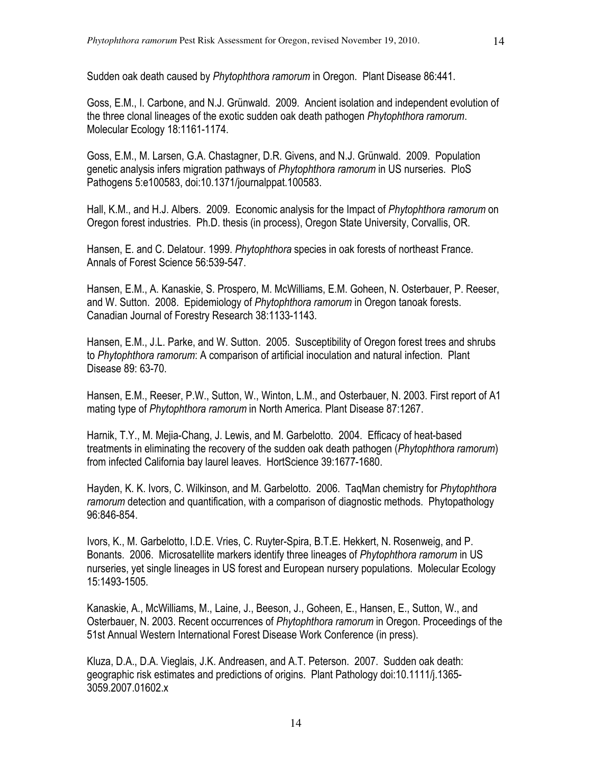Sudden oak death caused by *Phytophthora ramorum* in Oregon. Plant Disease 86:441.

Goss, E.M., I. Carbone, and N.J. Grünwald. 2009. Ancient isolation and independent evolution of the three clonal lineages of the exotic sudden oak death pathogen *Phytophthora ramorum*. Molecular Ecology 18:1161-1174.

Goss, E.M., M. Larsen, G.A. Chastagner, D.R. Givens, and N.J. Grünwald. 2009. Population genetic analysis infers migration pathways of *Phytophthora ramorum* in US nurseries. PloS Pathogens 5:e100583, doi:10.1371/journalppat.100583.

Hall, K.M., and H.J. Albers. 2009. Economic analysis for the Impact of *Phytophthora ramorum* on Oregon forest industries. Ph.D. thesis (in process), Oregon State University, Corvallis, OR.

Hansen, E. and C. Delatour. 1999. *Phytophthora* species in oak forests of northeast France. Annals of Forest Science 56:539-547.

Hansen, E.M., A. Kanaskie, S. Prospero, M. McWilliams, E.M. Goheen, N. Osterbauer, P. Reeser, and W. Sutton. 2008. Epidemiology of *Phytophthora ramorum* in Oregon tanoak forests. Canadian Journal of Forestry Research 38:1133-1143.

Hansen, E.M., J.L. Parke, and W. Sutton. 2005. Susceptibility of Oregon forest trees and shrubs to *Phytophthora ramorum*: A comparison of artificial inoculation and natural infection. Plant Disease 89: 63-70.

Hansen, E.M., Reeser, P.W., Sutton, W., Winton, L.M., and Osterbauer, N. 2003. First report of A1 mating type of *Phytophthora ramorum* in North America. Plant Disease 87:1267.

Harnik, T.Y., M. Mejia-Chang, J. Lewis, and M. Garbelotto. 2004. Efficacy of heat-based treatments in eliminating the recovery of the sudden oak death pathogen (*Phytophthora ramorum*) from infected California bay laurel leaves. HortScience 39:1677-1680.

Hayden, K. K. Ivors, C. Wilkinson, and M. Garbelotto. 2006. TaqMan chemistry for *Phytophthora ramorum* detection and quantification, with a comparison of diagnostic methods. Phytopathology 96:846-854.

Ivors, K., M. Garbelotto, I.D.E. Vries, C. Ruyter-Spira, B.T.E. Hekkert, N. Rosenweig, and P. Bonants. 2006. Microsatellite markers identify three lineages of *Phytophthora ramorum* in US nurseries, yet single lineages in US forest and European nursery populations. Molecular Ecology 15:1493-1505.

Kanaskie, A., McWilliams, M., Laine, J., Beeson, J., Goheen, E., Hansen, E., Sutton, W., and Osterbauer, N. 2003. Recent occurrences of *Phytophthora ramorum* in Oregon. Proceedings of the 51st Annual Western International Forest Disease Work Conference (in press).

Kluza, D.A., D.A. Vieglais, J.K. Andreasen, and A.T. Peterson. 2007. Sudden oak death: geographic risk estimates and predictions of origins. Plant Pathology doi:10.1111/j.1365- 3059.2007.01602.x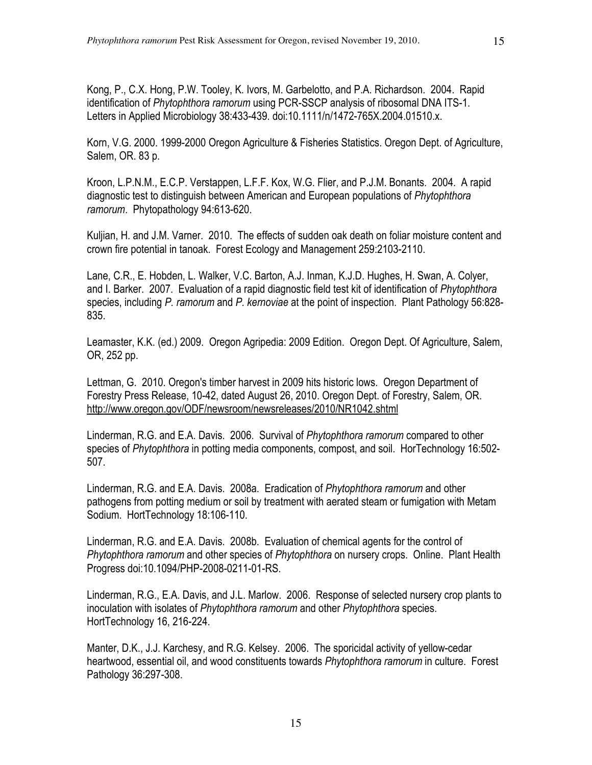Kong, P., C.X. Hong, P.W. Tooley, K. Ivors, M. Garbelotto, and P.A. Richardson. 2004. Rapid identification of *Phytophthora ramorum* using PCR-SSCP analysis of ribosomal DNA ITS-1. Letters in Applied Microbiology 38:433-439. doi:10.1111/n/1472-765X.2004.01510.x.

Korn, V.G. 2000. 1999-2000 Oregon Agriculture & Fisheries Statistics. Oregon Dept. of Agriculture, Salem, OR. 83 p.

Kroon, L.P.N.M., E.C.P. Verstappen, L.F.F. Kox, W.G. Flier, and P.J.M. Bonants. 2004. A rapid diagnostic test to distinguish between American and European populations of *Phytophthora ramorum*. Phytopathology 94:613-620.

Kuljian, H. and J.M. Varner. 2010. The effects of sudden oak death on foliar moisture content and crown fire potential in tanoak. Forest Ecology and Management 259:2103-2110.

Lane, C.R., E. Hobden, L. Walker, V.C. Barton, A.J. Inman, K.J.D. Hughes, H. Swan, A. Colyer, and I. Barker. 2007. Evaluation of a rapid diagnostic field test kit of identification of *Phytophthora* species, including *P. ramorum* and *P. kernoviae* at the point of inspection. Plant Pathology 56:828- 835.

Leamaster, K.K. (ed.) 2009. Oregon Agripedia: 2009 Edition. Oregon Dept. Of Agriculture, Salem, OR, 252 pp.

Lettman, G. 2010. Oregon's timber harvest in 2009 hits historic lows. Oregon Department of Forestry Press Release, 10-42, dated August 26, 2010. Oregon Dept. of Forestry, Salem, OR. http://www.oregon.gov/ODF/newsroom/newsreleases/2010/NR1042.shtml

Linderman, R.G. and E.A. Davis. 2006. Survival of *Phytophthora ramorum* compared to other species of *Phytophthora* in potting media components, compost, and soil. HorTechnology 16:502- 507.

Linderman, R.G. and E.A. Davis. 2008a. Eradication of *Phytophthora ramorum* and other pathogens from potting medium or soil by treatment with aerated steam or fumigation with Metam Sodium. HortTechnology 18:106-110.

Linderman, R.G. and E.A. Davis. 2008b. Evaluation of chemical agents for the control of *Phytophthora ramorum* and other species of *Phytophthora* on nursery crops. Online. Plant Health Progress doi:10.1094/PHP-2008-0211-01-RS.

Linderman, R.G., E.A. Davis, and J.L. Marlow. 2006. Response of selected nursery crop plants to inoculation with isolates of *Phytophthora ramorum* and other *Phytophthora* species. HortTechnology 16, 216-224.

Manter, D.K., J.J. Karchesy, and R.G. Kelsey. 2006. The sporicidal activity of yellow-cedar heartwood, essential oil, and wood constituents towards *Phytophthora ramorum* in culture. Forest Pathology 36:297-308.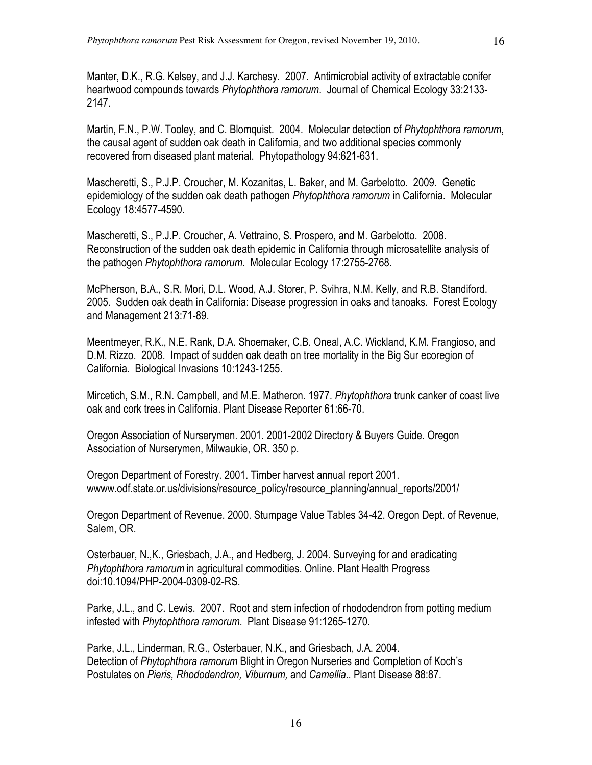Manter, D.K., R.G. Kelsey, and J.J. Karchesy. 2007. Antimicrobial activity of extractable conifer heartwood compounds towards *Phytophthora ramorum*. Journal of Chemical Ecology 33:2133- 2147.

Martin, F.N., P.W. Tooley, and C. Blomquist. 2004. Molecular detection of *Phytophthora ramorum*, the causal agent of sudden oak death in California, and two additional species commonly recovered from diseased plant material. Phytopathology 94:621-631.

Mascheretti, S., P.J.P. Croucher, M. Kozanitas, L. Baker, and M. Garbelotto. 2009. Genetic epidemiology of the sudden oak death pathogen *Phytophthora ramorum* in California. Molecular Ecology 18:4577-4590.

Mascheretti, S., P.J.P. Croucher, A. Vettraino, S. Prospero, and M. Garbelotto. 2008. Reconstruction of the sudden oak death epidemic in California through microsatellite analysis of the pathogen *Phytophthora ramorum*. Molecular Ecology 17:2755-2768.

McPherson, B.A., S.R. Mori, D.L. Wood, A.J. Storer, P. Svihra, N.M. Kelly, and R.B. Standiford. 2005. Sudden oak death in California: Disease progression in oaks and tanoaks. Forest Ecology and Management 213:71-89.

Meentmeyer, R.K., N.E. Rank, D.A. Shoemaker, C.B. Oneal, A.C. Wickland, K.M. Frangioso, and D.M. Rizzo. 2008. Impact of sudden oak death on tree mortality in the Big Sur ecoregion of California. Biological Invasions 10:1243-1255.

Mircetich, S.M., R.N. Campbell, and M.E. Matheron. 1977. *Phytophthora* trunk canker of coast live oak and cork trees in California. Plant Disease Reporter 61:66-70.

Oregon Association of Nurserymen. 2001. 2001-2002 Directory & Buyers Guide. Oregon Association of Nurserymen, Milwaukie, OR. 350 p.

Oregon Department of Forestry. 2001. Timber harvest annual report 2001. www.odf.state.or.us/divisions/resource\_policy/resource\_planning/annual\_reports/2001/

Oregon Department of Revenue. 2000. Stumpage Value Tables 34-42. Oregon Dept. of Revenue, Salem, OR.

Osterbauer, N.,K., Griesbach, J.A., and Hedberg, J. 2004. Surveying for and eradicating *Phytophthora ramorum* in agricultural commodities. Online. Plant Health Progress doi:10.1094/PHP-2004-0309-02-RS.

Parke, J.L., and C. Lewis. 2007. Root and stem infection of rhododendron from potting medium infested with *Phytophthora ramorum*. Plant Disease 91:1265-1270.

Parke, J.L., Linderman, R.G., Osterbauer, N.K., and Griesbach, J.A. 2004. Detection of *Phytophthora ramorum* Blight in Oregon Nurseries and Completion of Koch's Postulates on *Pieris, Rhododendron, Viburnum,* and *Camellia.*. Plant Disease 88:87.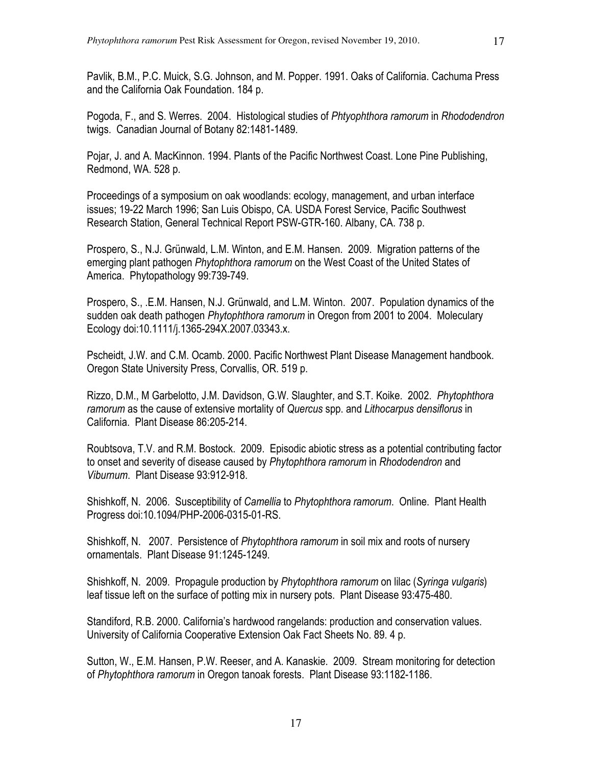Pavlik, B.M., P.C. Muick, S.G. Johnson, and M. Popper. 1991. Oaks of California. Cachuma Press and the California Oak Foundation. 184 p.

Pogoda, F., and S. Werres. 2004. Histological studies of *Phtyophthora ramorum* in *Rhododendron* twigs. Canadian Journal of Botany 82:1481-1489.

Pojar, J. and A. MacKinnon. 1994. Plants of the Pacific Northwest Coast. Lone Pine Publishing, Redmond, WA. 528 p.

Proceedings of a symposium on oak woodlands: ecology, management, and urban interface issues; 19-22 March 1996; San Luis Obispo, CA. USDA Forest Service, Pacific Southwest Research Station, General Technical Report PSW-GTR-160. Albany, CA. 738 p.

Prospero, S., N.J. Grünwald, L.M. Winton, and E.M. Hansen. 2009. Migration patterns of the emerging plant pathogen *Phytophthora ramorum* on the West Coast of the United States of America. Phytopathology 99:739-749.

Prospero, S., .E.M. Hansen, N.J. Grünwald, and L.M. Winton. 2007. Population dynamics of the sudden oak death pathogen *Phytophthora ramorum* in Oregon from 2001 to 2004. Moleculary Ecology doi:10.1111/j.1365-294X.2007.03343.x.

Pscheidt, J.W. and C.M. Ocamb. 2000. Pacific Northwest Plant Disease Management handbook. Oregon State University Press, Corvallis, OR. 519 p.

Rizzo, D.M., M Garbelotto, J.M. Davidson, G.W. Slaughter, and S.T. Koike. 2002. *Phytophthora ramorum* as the cause of extensive mortality of *Quercus* spp. and *Lithocarpus densiflorus* in California. Plant Disease 86:205-214.

Roubtsova, T.V. and R.M. Bostock. 2009. Episodic abiotic stress as a potential contributing factor to onset and severity of disease caused by *Phytophthora ramorum* in *Rhododendron* and *Viburnum*. Plant Disease 93:912-918.

Shishkoff, N. 2006. Susceptibility of *Camellia* to *Phytophthora ramorum*. Online. Plant Health Progress doi:10.1094/PHP-2006-0315-01-RS.

Shishkoff, N. 2007. Persistence of *Phytophthora ramorum* in soil mix and roots of nursery ornamentals. Plant Disease 91:1245-1249.

Shishkoff, N. 2009. Propagule production by *Phytophthora ramorum* on lilac (*Syringa vulgaris*) leaf tissue left on the surface of potting mix in nursery pots. Plant Disease 93:475-480.

Standiford, R.B. 2000. California's hardwood rangelands: production and conservation values. University of California Cooperative Extension Oak Fact Sheets No. 89. 4 p.

Sutton, W., E.M. Hansen, P.W. Reeser, and A. Kanaskie. 2009. Stream monitoring for detection of *Phytophthora ramorum* in Oregon tanoak forests. Plant Disease 93:1182-1186.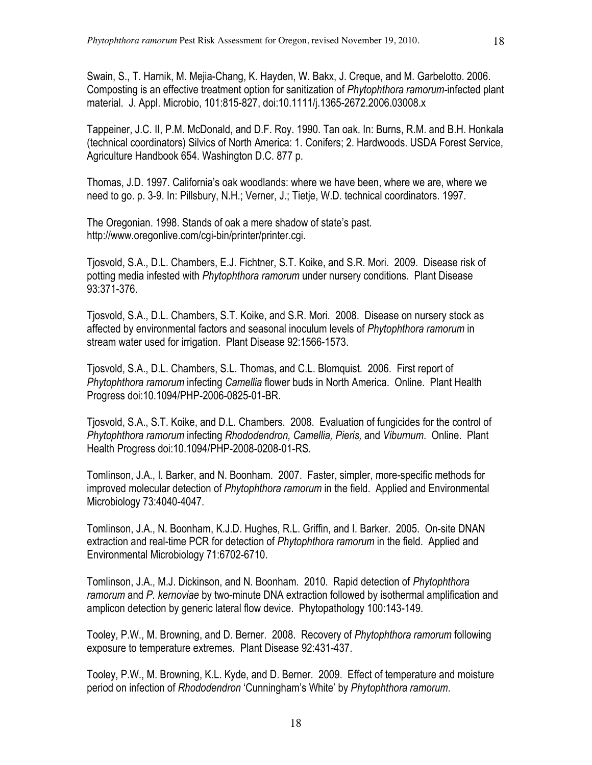Swain, S., T. Harnik, M. Mejia-Chang, K. Hayden, W. Bakx, J. Creque, and M. Garbelotto. 2006. Composting is an effective treatment option for sanitization of *Phytophthora ramorum-*infected plant material. J. Appl. Microbio, 101:815-827, doi:10.1111/j.1365-2672.2006.03008.x

Tappeiner, J.C. II, P.M. McDonald, and D.F. Roy. 1990. Tan oak. In: Burns, R.M. and B.H. Honkala (technical coordinators) Silvics of North America: 1. Conifers; 2. Hardwoods. USDA Forest Service, Agriculture Handbook 654. Washington D.C. 877 p.

Thomas, J.D. 1997. California's oak woodlands: where we have been, where we are, where we need to go. p. 3-9. In: Pillsbury, N.H.; Verner, J.; Tietje, W.D. technical coordinators. 1997.

The Oregonian. 1998. Stands of oak a mere shadow of state's past. http://www.oregonlive.com/cgi-bin/printer/printer.cgi.

Tjosvold, S.A., D.L. Chambers, E.J. Fichtner, S.T. Koike, and S.R. Mori. 2009. Disease risk of potting media infested with *Phytophthora ramorum* under nursery conditions. Plant Disease 93:371-376.

Tjosvold, S.A., D.L. Chambers, S.T. Koike, and S.R. Mori. 2008. Disease on nursery stock as affected by environmental factors and seasonal inoculum levels of *Phytophthora ramorum* in stream water used for irrigation. Plant Disease 92:1566-1573.

Tjosvold, S.A., D.L. Chambers, S.L. Thomas, and C.L. Blomquist. 2006. First report of *Phytophthora ramorum* infecting *Camellia* flower buds in North America. Online. Plant Health Progress doi:10.1094/PHP-2006-0825-01-BR.

Tjosvold, S.A., S.T. Koike, and D.L. Chambers. 2008. Evaluation of fungicides for the control of *Phytophthora ramorum* infecting *Rhododendron, Camellia, Pieris,* and *Viburnum*. Online. Plant Health Progress doi:10.1094/PHP-2008-0208-01-RS.

Tomlinson, J.A., I. Barker, and N. Boonham. 2007. Faster, simpler, more-specific methods for improved molecular detection of *Phytophthora ramorum* in the field. Applied and Environmental Microbiology 73:4040-4047.

Tomlinson, J.A., N. Boonham, K.J.D. Hughes, R.L. Griffin, and I. Barker. 2005. On-site DNAN extraction and real-time PCR for detection of *Phytophthora ramorum* in the field. Applied and Environmental Microbiology 71:6702-6710.

Tomlinson, J.A., M.J. Dickinson, and N. Boonham. 2010. Rapid detection of *Phytophthora ramorum* and *P. kernoviae* by two-minute DNA extraction followed by isothermal amplification and amplicon detection by generic lateral flow device. Phytopathology 100:143-149.

Tooley, P.W., M. Browning, and D. Berner. 2008. Recovery of *Phytophthora ramorum* following exposure to temperature extremes. Plant Disease 92:431-437.

Tooley, P.W., M. Browning, K.L. Kyde, and D. Berner. 2009. Effect of temperature and moisture period on infection of *Rhododendron* 'Cunningham's White' by *Phytophthora ramorum*.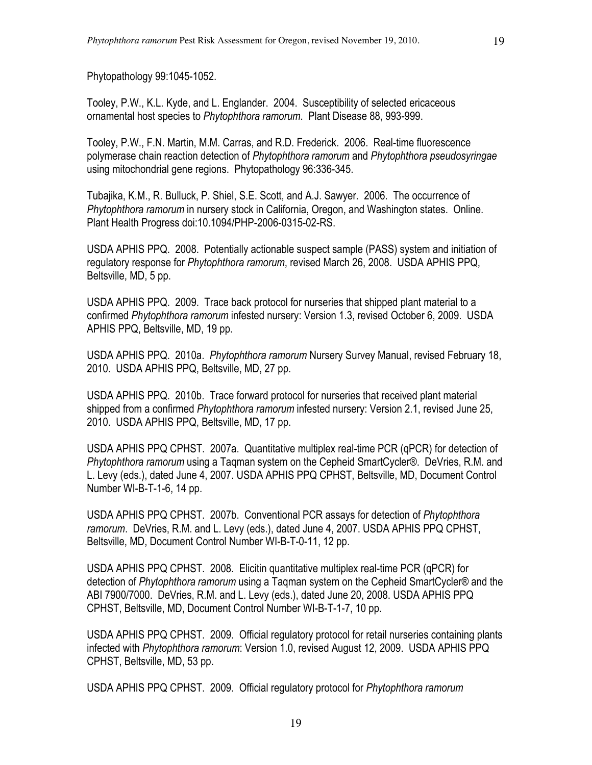Phytopathology 99:1045-1052.

Tooley, P.W., K.L. Kyde, and L. Englander. 2004. Susceptibility of selected ericaceous ornamental host species to *Phytophthora ramorum*. Plant Disease 88, 993-999.

Tooley, P.W., F.N. Martin, M.M. Carras, and R.D. Frederick. 2006. Real-time fluorescence polymerase chain reaction detection of *Phytophthora ramorum* and *Phytophthora pseudosyringae* using mitochondrial gene regions. Phytopathology 96:336-345.

Tubajika, K.M., R. Bulluck, P. Shiel, S.E. Scott, and A.J. Sawyer. 2006. The occurrence of *Phytophthora ramorum* in nursery stock in California, Oregon, and Washington states. Online. Plant Health Progress doi:10.1094/PHP-2006-0315-02-RS.

USDA APHIS PPQ. 2008. Potentially actionable suspect sample (PASS) system and initiation of regulatory response for *Phytophthora ramorum*, revised March 26, 2008. USDA APHIS PPQ, Beltsville, MD, 5 pp.

USDA APHIS PPQ. 2009. Trace back protocol for nurseries that shipped plant material to a confirmed *Phytophthora ramorum* infested nursery: Version 1.3, revised October 6, 2009. USDA APHIS PPQ, Beltsville, MD, 19 pp.

USDA APHIS PPQ. 2010a. *Phytophthora ramorum* Nursery Survey Manual, revised February 18, 2010. USDA APHIS PPQ, Beltsville, MD, 27 pp.

USDA APHIS PPQ. 2010b. Trace forward protocol for nurseries that received plant material shipped from a confirmed *Phytophthora ramorum* infested nursery: Version 2.1, revised June 25, 2010. USDA APHIS PPQ, Beltsville, MD, 17 pp.

USDA APHIS PPQ CPHST. 2007a. Quantitative multiplex real-time PCR (qPCR) for detection of *Phytophthora ramorum* using a Taqman system on the Cepheid SmartCycler®. DeVries, R.M. and L. Levy (eds.), dated June 4, 2007. USDA APHIS PPQ CPHST, Beltsville, MD, Document Control Number WI-B-T-1-6, 14 pp.

USDA APHIS PPQ CPHST. 2007b. Conventional PCR assays for detection of *Phytophthora ramorum*. DeVries, R.M. and L. Levy (eds.), dated June 4, 2007. USDA APHIS PPQ CPHST, Beltsville, MD, Document Control Number WI-B-T-0-11, 12 pp.

USDA APHIS PPQ CPHST. 2008. Elicitin quantitative multiplex real-time PCR (qPCR) for detection of *Phytophthora ramorum* using a Taqman system on the Cepheid SmartCycler® and the ABI 7900/7000. DeVries, R.M. and L. Levy (eds.), dated June 20, 2008. USDA APHIS PPQ CPHST, Beltsville, MD, Document Control Number WI-B-T-1-7, 10 pp.

USDA APHIS PPQ CPHST. 2009. Official regulatory protocol for retail nurseries containing plants infected with *Phytophthora ramorum*: Version 1.0, revised August 12, 2009. USDA APHIS PPQ CPHST, Beltsville, MD, 53 pp.

USDA APHIS PPQ CPHST. 2009. Official regulatory protocol for *Phytophthora ramorum*